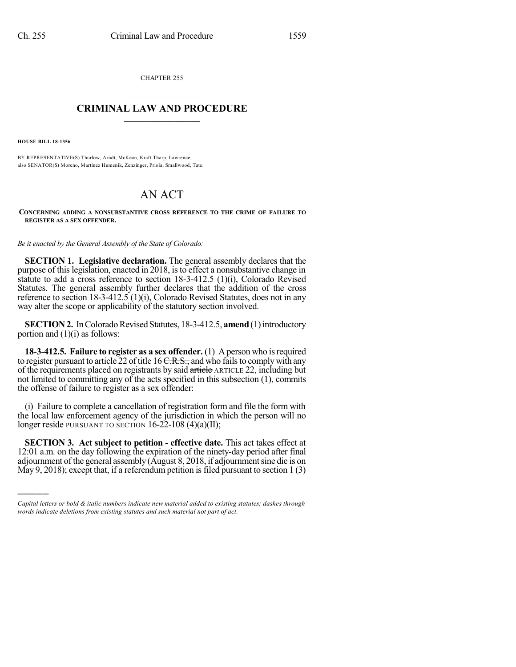CHAPTER 255  $\overline{\phantom{a}}$  . The set of the set of the set of the set of the set of the set of the set of the set of the set of the set of the set of the set of the set of the set of the set of the set of the set of the set of the set o

## **CRIMINAL LAW AND PROCEDURE**  $\frac{1}{2}$  ,  $\frac{1}{2}$  ,  $\frac{1}{2}$  ,  $\frac{1}{2}$  ,  $\frac{1}{2}$  ,  $\frac{1}{2}$  ,  $\frac{1}{2}$

**HOUSE BILL 18-1356**

)))))

BY REPRESENTATIVE(S) Thurlow, Arndt, McKean, Kraft-Tharp, Lawrence; also SENATOR(S) Moreno, Martinez Humenik, Zenzinger, Priola, Smallwood, Tate.

## AN ACT

**CONCERNING ADDING A NONSUBSTANTIVE CROSS REFERENCE TO THE CRIME OF FAILURE TO REGISTER AS A SEX OFFENDER.**

*Be it enacted by the General Assembly of the State of Colorado:*

**SECTION 1. Legislative declaration.** The general assembly declares that the purpose of thislegislation, enacted in 2018, isto effect a nonsubstantive change in statute to add a cross reference to section 18-3-412.5 (1)(i), Colorado Revised Statutes. The general assembly further declares that the addition of the cross reference to section 18-3-412.5 (1)(i), Colorado Revised Statutes, does not in any way alter the scope or applicability of the statutory section involved.

**SECTION 2.** In Colorado Revised Statutes, 18-3-412.5, **amend** (1) introductory portion and (1)(i) as follows:

**18-3-412.5. Failure to register as a sex offender.** (1) A person who isrequired to register pursuant to article  $22$  of title 16 C.R.S., and who fails to comply with any of the requirements placed on registrants by said article ARTICLE 22, including but not limited to committing any of the acts specified in this subsection (1), commits the offense of failure to register as a sex offender:

(i) Failure to complete a cancellation of registration form and file the form with the local law enforcement agency of the jurisdiction in which the person will no longer reside PURSUANT TO SECTION  $16-22-108$  (4)(a)(II);

**SECTION 3. Act subject to petition - effective date.** This act takes effect at 12:01 a.m. on the day following the expiration of the ninety-day period after final adjournment of the general assembly (August 8, 2018, if adjournment sine die is on May 9, 2018); except that, if a referendum petition is filed pursuant to section  $1(3)$ 

*Capital letters or bold & italic numbers indicate new material added to existing statutes; dashes through words indicate deletions from existing statutes and such material not part of act.*